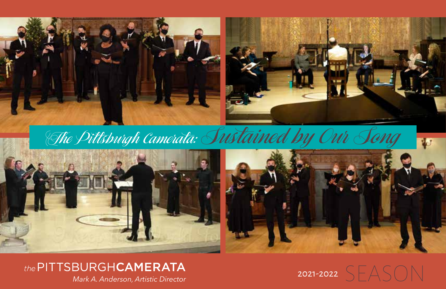

## the PITTSBURGHCAMERATA

2021-2022  $SEASON$ 

*Mark A. Anderson, Artistic Director*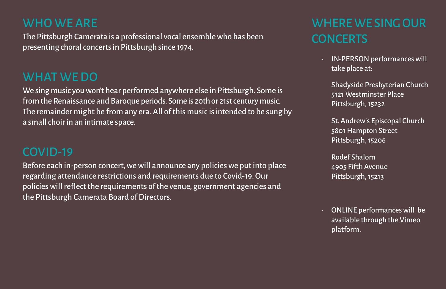## WHO WE ARE

The Pittsburgh Camerata is a professional vocal ensemble who has been presenting choral concerts in Pittsburgh since 1974.

## WHAT WE DO

We sing music you won't hear performed anywhere else in Pittsburgh. Some is from the Renaissance and Baroque periods. Some is 20th or 21st century music. The remainder might be from any era. All of this music is intended to be sung by a small choir in an intimate space.

### COVID-19

Before each in-person concert, we will announce any policies we put into place regarding attendance restrictions and requirements due to Covid-19. Our policies will reflect the requirements of the venue, government agencies and the Pittsburgh Camerata Board of Directors.

## WHERE WE SING OUR **CONCERTS**

• IN-PERSON performances will take place at:

Shadyside Presbyterian Church 5121 Westminster Place Pittsburgh, 15232

St. Andrew's Episcopal Church 5801 Hampton Street Pittsburgh, 15206

Rodef Shalom 4905 Fifth Avenue Pittsburgh, 15213

• ONLINE performances will be available through the Vimeo platform.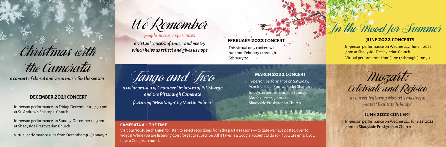- In-person performance on Friday, December 10, 7:30 pm at St. Andrew's Episcopal Church
- In-person performance on Sunday, December 12, 3 pm at Shadyside Presbyterian Church
- Virtual performance runs from December 19 January 2

#### **CAMERATA ALL THE TIME**

Christmas with the Camerata

> Visit our **YouTube channel** to listen to select recordings from the past 4 seasons — to date we have posted over 30 videos! While you are listening don't forget to subscribe. All it takes is a Google account to do so (if you use gmail, you have a Google account).

#### **DECEMBER 2021 CONCERT**

*a concert of choral and vocal music for the season*

#### **FEBRUARY 2022 CONCERT**

This virtual only concert will run from February 1 through February 20

#### **MARCH 2022 CONCERT**

- In-person performance on Saturday, March 5, 2022, 7 pm at Rodef Shalom
- In-person performance on Sunday, March 6, 2022, 3 pm at Shadyside Presbyterian Church

#### **JUNE 2022 CONCERTS**

- In-person performance on Wednesday, June 1, 2022 7 pm at Shadyside Presbyterian Church
- Virtual performance, from June 17 through June 30

#### **JUNE 2022 CONCERT**

• In-person performance on Wednesday, June 22, 2022 7 pm at Shadyside Presbyterian Church

We Remember

*people, places, experiences*

*a virtual concert of music and poetry which helps us reflect and gives us hope*

# Tango and Two

*a collaboration of Chamber Orchestra of Pittsburgh and the Pittsburgh Camerata featuring "Misatango" by Martin Palmeri*





*a concert featuring Mozart's masterful motet "Exultate Jubilate"*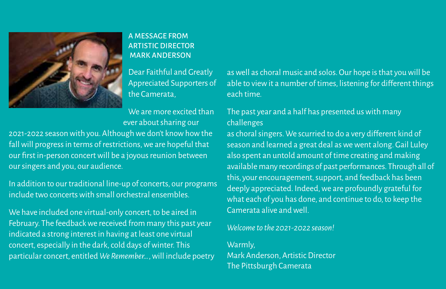

#### A MESSAGE FROM ARTISTIC DIRECTOR MARK ANDERSON

Dear Faithful and Greatly Appreciated Supporters of the Camerata,

We are more excited than ever about sharing our

2021-2022 season with you. Although we don't know how the fall will progress in terms of restrictions, we are hopeful that our first in-person concert will be a joyous reunion between our singers and you, our audience.

In addition to our traditional line-up of concerts, our programs include two concerts with small orchestral ensembles.

We have included one virtual-only concert, to be aired in February. The feedback we received from many this past year indicated a strong interest in having at least one virtual concert, especially in the dark, cold days of winter. This particular concert, entitled *We Remember…*, will include poetry as well as choral music and solos. Our hope is that you will be able to view it a number of times, listening for different things each time.

#### The past year and a half has presented us with many challenges

as choral singers. We scurried to do a very different kind of season and learned a great deal as we went along. Gail Luley also spent an untold amount of time creating and making available many recordings of past performances. Through all of this, your encouragement, support, and feedback has been deeply appreciated. Indeed, we are profoundly grateful for what each of you has done, and continue to do, to keep the Camerata alive and well.

#### *Welcome to the 2021-2022 season!*

Warmly, Mark Anderson, Artistic Director The Pittsburgh Camerata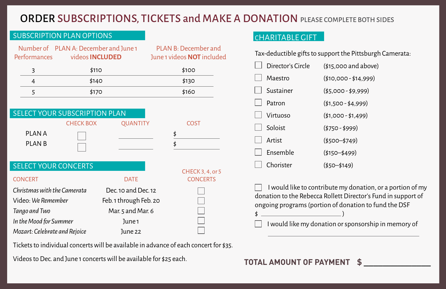## ORDER SUBSCRIPTIONS, TICKETS and MAKE A DONATION PLEASE COMPLETE BOTH SIDES

|                               | SUBSURIPTIUN PLAN UPTIUNS                                       |                        |    |                                                    |  |
|-------------------------------|-----------------------------------------------------------------|------------------------|----|----------------------------------------------------|--|
| Performances                  | Number of PLAN A: December and June 1<br>videos <b>INCLUDED</b> |                        |    | PLAN B: December and<br>June 1 videos NOT included |  |
| 3                             | \$110                                                           |                        |    | \$100                                              |  |
| 4                             | \$140                                                           |                        |    | \$130                                              |  |
| 5                             | \$170                                                           |                        |    | \$160                                              |  |
|                               |                                                                 |                        |    |                                                    |  |
|                               | <b>SELECT YOUR SUBSCRIPTION PLAN</b>                            |                        |    |                                                    |  |
|                               | <b>CHECK BOX</b>                                                | <b>QUANTITY</b>        |    | <b>COST</b>                                        |  |
| <b>PLANA</b>                  |                                                                 |                        | \$ |                                                    |  |
| <b>PLANB</b>                  |                                                                 |                        | \$ |                                                    |  |
|                               |                                                                 |                        |    |                                                    |  |
|                               | <b>SELECT YOUR CONCERTS</b>                                     |                        |    |                                                    |  |
| <b>CONCERT</b>                |                                                                 | <b>DATE</b>            |    | CHECK 3, 4, or 5<br><b>CONCERTS</b>                |  |
| Christmas with the Camerata   |                                                                 | Dec. 10 and Dec. 12    |    |                                                    |  |
| Video: We Remember            |                                                                 | Feb. 1 through Feb. 20 |    |                                                    |  |
| Tango and Two                 |                                                                 | Mar. 5 and Mar. 6      |    |                                                    |  |
| In the Mood for Summer        |                                                                 | June <sub>1</sub>      |    |                                                    |  |
| Mozart: Celebrate and Rejoice |                                                                 | June 22                |    |                                                    |  |

IBCCRIPTION PLAN OPTIONS

Tickets to individual concerts will be available in advance of each concert for \$35.

Videos to Dec. and June 1 concerts will be available for \$25 each.

#### CHARITABLE GIFT

Tax-deductible gifts to support the Pittsburgh Camerata:

| Director's Circle | (\$15,000 and above)  |
|-------------------|-----------------------|
| Maestro           | $($10,000 - $14,999)$ |
| Sustainer         | $($5,000 - $9,999)$   |
| Patron            | $($1,500 - $4,999)$   |
| Virtuoso          | $($1,000 - $1,499)$   |
| Soloist           | (\$750 - \$999)       |
| Artist            | $($500 - $749)$       |
| Fnsemble          | (\$150–\$499)         |
| Chorister         | $( $50 - $149)$       |

I would like to contribute my donation, or a portion of my donation to the Rebecca Rollett Director's Fund in support of ongoing programs (portion of donation to fund the DSF

I would like my donation or sponsorship in memory of

**TOTAL AMOUNT OF PAYMENT \$ \_\_\_\_\_\_\_\_\_\_\_\_\_\_**

**\$ 1999 • 1999 • 1999 • 1999 • 1999 • 1999 • 1999 • 1999 • 1999 • 1999 • 1999 • 1999 • 1999 • 1999 • 1999 • 19**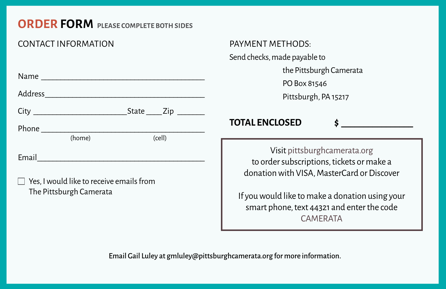## **ORDER FORM PLEASE COMPLETE BOTH SIDES**

| <b>CONTACT INFORMATION</b>                                                                      | PAYMENT METHODS:                                                                                                        |  |  |
|-------------------------------------------------------------------------------------------------|-------------------------------------------------------------------------------------------------------------------------|--|--|
|                                                                                                 | Send checks, made payable to                                                                                            |  |  |
|                                                                                                 | the Pittsburgh Camerata<br>PO Box 81546                                                                                 |  |  |
|                                                                                                 |                                                                                                                         |  |  |
|                                                                                                 | Pittsburgh, PA 15217                                                                                                    |  |  |
|                                                                                                 | <b>TOTAL ENCLOSED</b><br>\$                                                                                             |  |  |
| (cell)<br>(home)                                                                                |                                                                                                                         |  |  |
| Email <u>Communication and Communication</u><br>$\Box$ Yes, I would like to receive emails from | Visit pittsburghcamerata.org<br>to order subscriptions, tickets or make a<br>donation with VISA, MasterCard or Discover |  |  |
| The Pittsburgh Camerata                                                                         | If you would like to make a donation using your<br>smart phone, text 44321 and enter the code<br><b>CAMERATA</b>        |  |  |

Email Gail Luley at gmluley@pittsburghcamerata.org for more information.